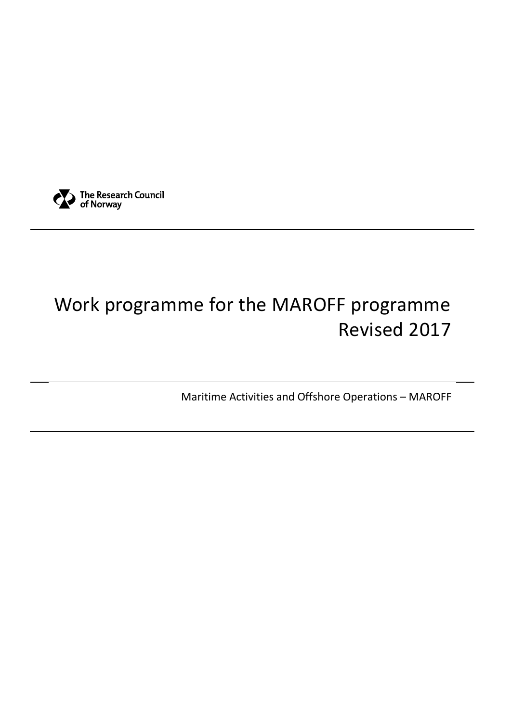

# Work programme for the MAROFF programme Revised 2017

Maritime Activities and Offshore Operations – MAROFF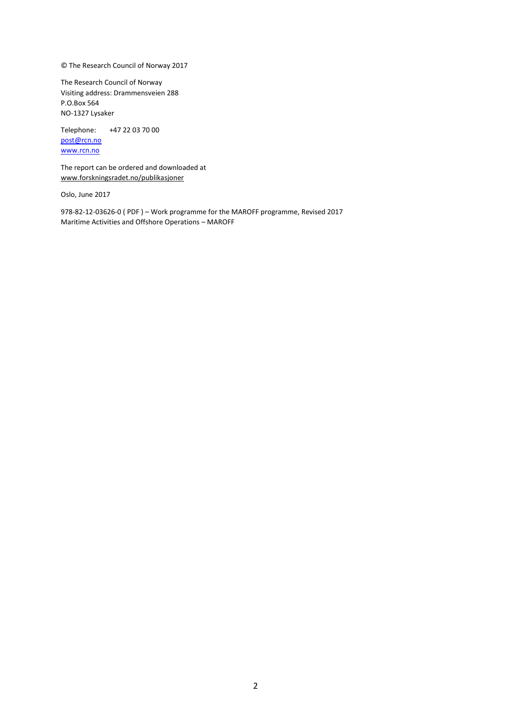© The Research Council of Norway 2017

The Research Council of Norway Visiting address: Drammensveien 288 P.O.Box 564 NO-1327 Lysaker

Telephone: +47 22 03 70 00 [post@rcn.no](mailto:post@rcn.no)

[www.rcn.no](http://www.rcn.no/)

The report can be ordered and downloaded at [www.forskningsradet.no/publikasjoner](http://www.forskningsradet.no/publikasjoner)

Oslo, June 2017

978-82-12-03626-0 ( PDF ) – Work programme for the MAROFF programme, Revised 2017 Maritime Activities and Offshore Operations – MAROFF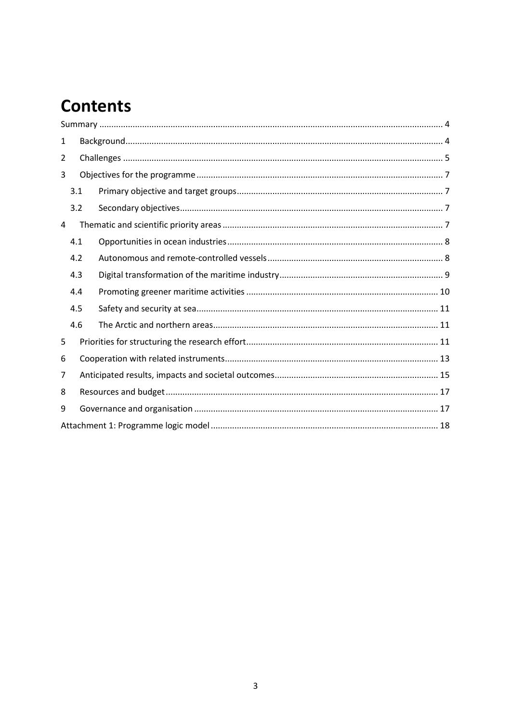## **Contents**

| 1 |     |  |
|---|-----|--|
| 2 |     |  |
| 3 |     |  |
|   | 3.1 |  |
|   | 3.2 |  |
| 4 |     |  |
|   | 4.1 |  |
|   | 4.2 |  |
|   | 4.3 |  |
|   | 4.4 |  |
|   | 4.5 |  |
|   | 4.6 |  |
| 5 |     |  |
| 6 |     |  |
| 7 |     |  |
| 8 |     |  |
| 9 |     |  |
|   |     |  |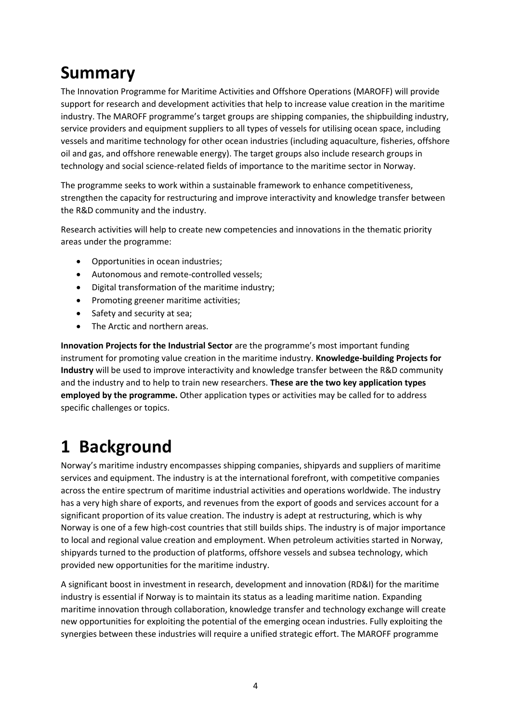## <span id="page-3-0"></span>**Summary**

The Innovation Programme for Maritime Activities and Offshore Operations (MAROFF) will provide support for research and development activities that help to increase value creation in the maritime industry. The MAROFF programme's target groups are shipping companies, the shipbuilding industry, service providers and equipment suppliers to all types of vessels for utilising ocean space, including vessels and maritime technology for other ocean industries (including aquaculture, fisheries, offshore oil and gas, and offshore renewable energy). The target groups also include research groups in technology and social science-related fields of importance to the maritime sector in Norway.

The programme seeks to work within a sustainable framework to enhance competitiveness, strengthen the capacity for restructuring and improve interactivity and knowledge transfer between the R&D community and the industry.

Research activities will help to create new competencies and innovations in the thematic priority areas under the programme:

- Opportunities in ocean industries;
- Autonomous and remote-controlled vessels;
- Digital transformation of the maritime industry;
- Promoting greener maritime activities;
- Safety and security at sea;
- The Arctic and northern areas.

**Innovation Projects for the Industrial Sector** are the programme's most important funding instrument for promoting value creation in the maritime industry. **Knowledge-building Projects for Industry** will be used to improve interactivity and knowledge transfer between the R&D community and the industry and to help to train new researchers. **These are the two key application types employed by the programme.** Other application types or activities may be called for to address specific challenges or topics.

## <span id="page-3-1"></span>**1 Background**

Norway's maritime industry encompasses shipping companies, shipyards and suppliers of maritime services and equipment. The industry is at the international forefront, with competitive companies across the entire spectrum of maritime industrial activities and operations worldwide. The industry has a very high share of exports, and revenues from the export of goods and services account for a significant proportion of its value creation. The industry is adept at restructuring, which is why Norway is one of a few high-cost countries that still builds ships. The industry is of major importance to local and regional value creation and employment. When petroleum activities started in Norway, shipyards turned to the production of platforms, offshore vessels and subsea technology, which provided new opportunities for the maritime industry.

A significant boost in investment in research, development and innovation (RD&I) for the maritime industry is essential if Norway is to maintain its status as a leading maritime nation. Expanding maritime innovation through collaboration, knowledge transfer and technology exchange will create new opportunities for exploiting the potential of the emerging ocean industries. Fully exploiting the synergies between these industries will require a unified strategic effort. The MAROFF programme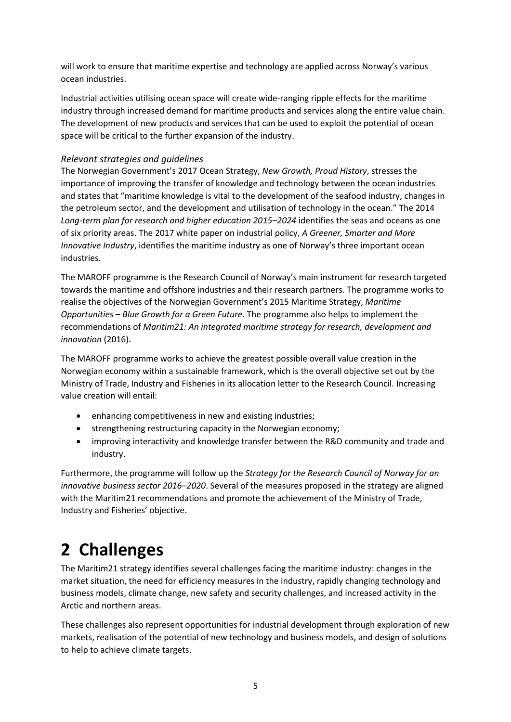will work to ensure that maritime expertise and technology are applied across Norway's various ocean industries.

Industrial activities utilising ocean space will create wide-ranging ripple effects for the maritime industry through increased demand for maritime products and services along the entire value chain. The development of new products and services that can be used to exploit the potential of ocean space will be critical to the further expansion of the industry.

#### *Relevant strategies and guidelines*

The Norwegian Government's 2017 Ocean Strategy, *New Growth, Proud History*, stresses the importance of improving the transfer of knowledge and technology between the ocean industries and states that "maritime knowledge is vital to the development of the seafood industry, changes in the petroleum sector, and the development and utilisation of technology in the ocean." The 2014 *Long-term plan for research and higher education 2015–2024* identifies the seas and oceans as one of six priority areas. The 2017 white paper on industrial policy, *A Greener, Smarter and More Innovative Industry*, identifies the maritime industry as one of Norway's three important ocean industries.

The MAROFF programme is the Research Council of Norway's main instrument for research targeted towards the maritime and offshore industries and their research partners. The programme works to realise the objectives of the Norwegian Government's 2015 Maritime Strategy, *Maritime Opportunities – Blue Growth for a Green Future*. The programme also helps to implement the recommendations of *Maritim21: An integrated maritime strategy for research, development and innovation* (2016).

The MAROFF programme works to achieve the greatest possible overall value creation in the Norwegian economy within a sustainable framework, which is the overall objective set out by the Ministry of Trade, Industry and Fisheries in its allocation letter to the Research Council. Increasing value creation will entail:

- enhancing competitiveness in new and existing industries;
- strengthening restructuring capacity in the Norwegian economy;
- improving interactivity and knowledge transfer between the R&D community and trade and industry.

Furthermore, the programme will follow up the *Strategy for the Research Council of Norway for an innovative business sector 2016–2020*. Several of the measures proposed in the strategy are aligned with the Maritim21 recommendations and promote the achievement of the Ministry of Trade, Industry and Fisheries' objective.

## <span id="page-4-0"></span>**2 Challenges**

The Maritim21 strategy identifies several challenges facing the maritime industry: changes in the market situation, the need for efficiency measures in the industry, rapidly changing technology and business models, climate change, new safety and security challenges, and increased activity in the Arctic and northern areas.

These challenges also represent opportunities for industrial development through exploration of new markets, realisation of the potential of new technology and business models, and design of solutions to help to achieve climate targets.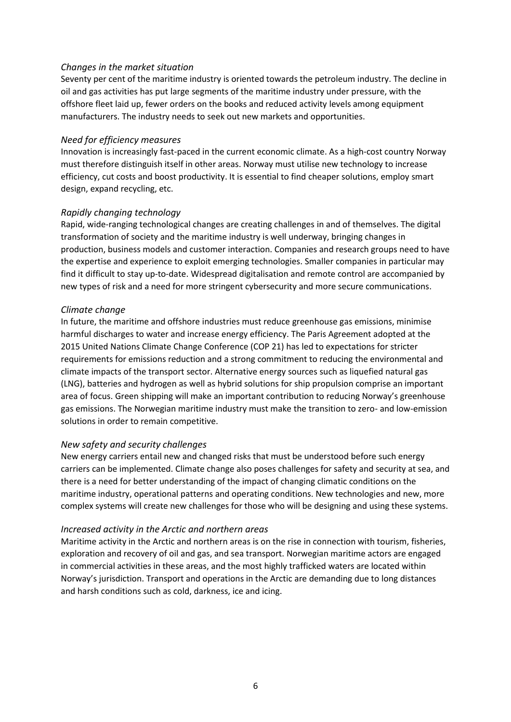#### *Changes in the market situation*

Seventy per cent of the maritime industry is oriented towards the petroleum industry. The decline in oil and gas activities has put large segments of the maritime industry under pressure, with the offshore fleet laid up, fewer orders on the books and reduced activity levels among equipment manufacturers. The industry needs to seek out new markets and opportunities.

#### *Need for efficiency measures*

Innovation is increasingly fast-paced in the current economic climate. As a high-cost country Norway must therefore distinguish itself in other areas. Norway must utilise new technology to increase efficiency, cut costs and boost productivity. It is essential to find cheaper solutions, employ smart design, expand recycling, etc.

#### *Rapidly changing technology*

Rapid, wide-ranging technological changes are creating challenges in and of themselves. The digital transformation of society and the maritime industry is well underway, bringing changes in production, business models and customer interaction. Companies and research groups need to have the expertise and experience to exploit emerging technologies. Smaller companies in particular may find it difficult to stay up-to-date. Widespread digitalisation and remote control are accompanied by new types of risk and a need for more stringent cybersecurity and more secure communications.

#### *Climate change*

In future, the maritime and offshore industries must reduce greenhouse gas emissions, minimise harmful discharges to water and increase energy efficiency. The Paris Agreement adopted at the 2015 United Nations Climate Change Conference (COP 21) has led to expectations for stricter requirements for emissions reduction and a strong commitment to reducing the environmental and climate impacts of the transport sector. Alternative energy sources such as liquefied natural gas (LNG), batteries and hydrogen as well as hybrid solutions for ship propulsion comprise an important area of focus. Green shipping will make an important contribution to reducing Norway's greenhouse gas emissions. The Norwegian maritime industry must make the transition to zero- and low-emission solutions in order to remain competitive.

#### *New safety and security challenges*

New energy carriers entail new and changed risks that must be understood before such energy carriers can be implemented. Climate change also poses challenges for safety and security at sea, and there is a need for better understanding of the impact of changing climatic conditions on the maritime industry, operational patterns and operating conditions. New technologies and new, more complex systems will create new challenges for those who will be designing and using these systems.

#### *Increased activity in the Arctic and northern areas*

Maritime activity in the Arctic and northern areas is on the rise in connection with tourism, fisheries, exploration and recovery of oil and gas, and sea transport. Norwegian maritime actors are engaged in commercial activities in these areas, and the most highly trafficked waters are located within Norway's jurisdiction. Transport and operations in the Arctic are demanding due to long distances and harsh conditions such as cold, darkness, ice and icing.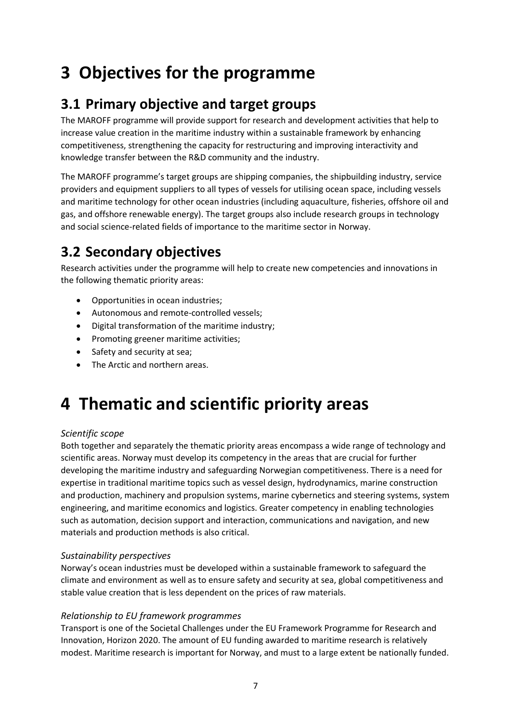## <span id="page-6-0"></span>**3 Objectives for the programme**

### <span id="page-6-1"></span>**3.1 Primary objective and target groups**

The MAROFF programme will provide support for research and development activities that help to increase value creation in the maritime industry within a sustainable framework by enhancing competitiveness, strengthening the capacity for restructuring and improving interactivity and knowledge transfer between the R&D community and the industry.

The MAROFF programme's target groups are shipping companies, the shipbuilding industry, service providers and equipment suppliers to all types of vessels for utilising ocean space, including vessels and maritime technology for other ocean industries (including aquaculture, fisheries, offshore oil and gas, and offshore renewable energy). The target groups also include research groups in technology and social science-related fields of importance to the maritime sector in Norway.

### <span id="page-6-2"></span>**3.2 Secondary objectives**

Research activities under the programme will help to create new competencies and innovations in the following thematic priority areas:

- Opportunities in ocean industries;
- Autonomous and remote-controlled vessels;
- Digital transformation of the maritime industry;
- Promoting greener maritime activities;
- Safety and security at sea;
- The Arctic and northern areas.

## <span id="page-6-3"></span>**4 Thematic and scientific priority areas**

#### *Scientific scope*

Both together and separately the thematic priority areas encompass a wide range of technology and scientific areas. Norway must develop its competency in the areas that are crucial for further developing the maritime industry and safeguarding Norwegian competitiveness. There is a need for expertise in traditional maritime topics such as vessel design, hydrodynamics, marine construction and production, machinery and propulsion systems, marine cybernetics and steering systems, system engineering, and maritime economics and logistics. Greater competency in enabling technologies such as automation, decision support and interaction, communications and navigation, and new materials and production methods is also critical.

#### *Sustainability perspectives*

Norway's ocean industries must be developed within a sustainable framework to safeguard the climate and environment as well as to ensure safety and security at sea, global competitiveness and stable value creation that is less dependent on the prices of raw materials.

#### *Relationship to EU framework programmes*

Transport is one of the Societal Challenges under the EU Framework Programme for Research and Innovation, Horizon 2020. The amount of EU funding awarded to maritime research is relatively modest. Maritime research is important for Norway, and must to a large extent be nationally funded.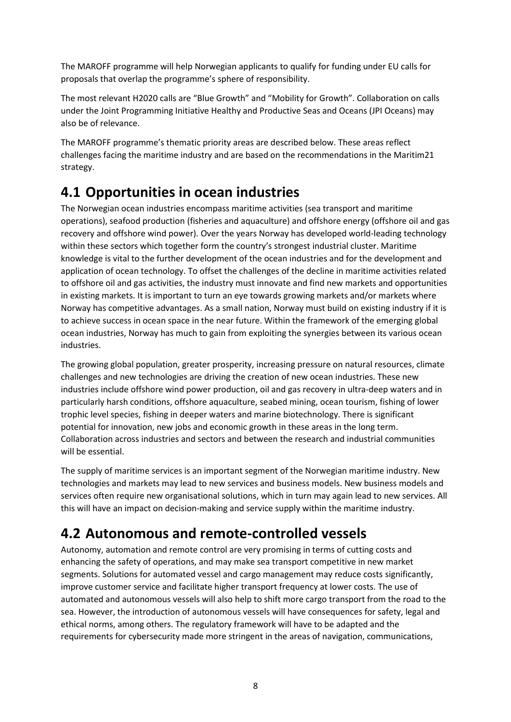The MAROFF programme will help Norwegian applicants to qualify for funding under EU calls for proposals that overlap the programme's sphere of responsibility.

The most relevant H2020 calls are "Blue Growth" and "Mobility for Growth". Collaboration on calls under the Joint Programming Initiative Healthy and Productive Seas and Oceans (JPI Oceans) may also be of relevance.

The MAROFF programme's thematic priority areas are described below. These areas reflect challenges facing the maritime industry and are based on the recommendations in the Maritim21 strategy.

### <span id="page-7-0"></span>**4.1 Opportunities in ocean industries**

The Norwegian ocean industries encompass maritime activities (sea transport and maritime operations), seafood production (fisheries and aquaculture) and offshore energy (offshore oil and gas recovery and offshore wind power). Over the years Norway has developed world-leading technology within these sectors which together form the country's strongest industrial cluster. Maritime knowledge is vital to the further development of the ocean industries and for the development and application of ocean technology. To offset the challenges of the decline in maritime activities related to offshore oil and gas activities, the industry must innovate and find new markets and opportunities in existing markets. It is important to turn an eye towards growing markets and/or markets where Norway has competitive advantages. As a small nation, Norway must build on existing industry if it is to achieve success in ocean space in the near future. Within the framework of the emerging global ocean industries, Norway has much to gain from exploiting the synergies between its various ocean industries.

The growing global population, greater prosperity, increasing pressure on natural resources, climate challenges and new technologies are driving the creation of new ocean industries. These new industries include offshore wind power production, oil and gas recovery in ultra-deep waters and in particularly harsh conditions, offshore aquaculture, seabed mining, ocean tourism, fishing of lower trophic level species, fishing in deeper waters and marine biotechnology. There is significant potential for innovation, new jobs and economic growth in these areas in the long term. Collaboration across industries and sectors and between the research and industrial communities will be essential.

The supply of maritime services is an important segment of the Norwegian maritime industry. New technologies and markets may lead to new services and business models. New business models and services often require new organisational solutions, which in turn may again lead to new services. All this will have an impact on decision-making and service supply within the maritime industry.

### <span id="page-7-1"></span>**4.2 Autonomous and remote-controlled vessels**

Autonomy, automation and remote control are very promising in terms of cutting costs and enhancing the safety of operations, and may make sea transport competitive in new market segments. Solutions for automated vessel and cargo management may reduce costs significantly, improve customer service and facilitate higher transport frequency at lower costs. The use of automated and autonomous vessels will also help to shift more cargo transport from the road to the sea. However, the introduction of autonomous vessels will have consequences for safety, legal and ethical norms, among others. The regulatory framework will have to be adapted and the requirements for cybersecurity made more stringent in the areas of navigation, communications,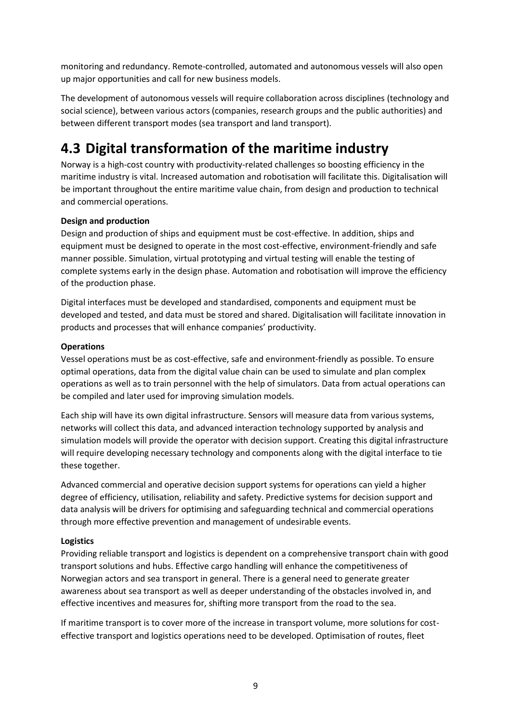monitoring and redundancy. Remote-controlled, automated and autonomous vessels will also open up major opportunities and call for new business models.

The development of autonomous vessels will require collaboration across disciplines (technology and social science), between various actors (companies, research groups and the public authorities) and between different transport modes (sea transport and land transport).

### <span id="page-8-0"></span>**4.3 Digital transformation of the maritime industry**

Norway is a high-cost country with productivity-related challenges so boosting efficiency in the maritime industry is vital. Increased automation and robotisation will facilitate this. Digitalisation will be important throughout the entire maritime value chain, from design and production to technical and commercial operations.

#### **Design and production**

Design and production of ships and equipment must be cost-effective. In addition, ships and equipment must be designed to operate in the most cost-effective, environment-friendly and safe manner possible. Simulation, virtual prototyping and virtual testing will enable the testing of complete systems early in the design phase. Automation and robotisation will improve the efficiency of the production phase.

Digital interfaces must be developed and standardised, components and equipment must be developed and tested, and data must be stored and shared. Digitalisation will facilitate innovation in products and processes that will enhance companies' productivity.

#### **Operations**

Vessel operations must be as cost-effective, safe and environment-friendly as possible. To ensure optimal operations, data from the digital value chain can be used to simulate and plan complex operations as well as to train personnel with the help of simulators. Data from actual operations can be compiled and later used for improving simulation models.

Each ship will have its own digital infrastructure. Sensors will measure data from various systems, networks will collect this data, and advanced interaction technology supported by analysis and simulation models will provide the operator with decision support. Creating this digital infrastructure will require developing necessary technology and components along with the digital interface to tie these together.

Advanced commercial and operative decision support systems for operations can yield a higher degree of efficiency, utilisation, reliability and safety. Predictive systems for decision support and data analysis will be drivers for optimising and safeguarding technical and commercial operations through more effective prevention and management of undesirable events.

#### **Logistics**

Providing reliable transport and logistics is dependent on a comprehensive transport chain with good transport solutions and hubs. Effective cargo handling will enhance the competitiveness of Norwegian actors and sea transport in general. There is a general need to generate greater awareness about sea transport as well as deeper understanding of the obstacles involved in, and effective incentives and measures for, shifting more transport from the road to the sea.

If maritime transport is to cover more of the increase in transport volume, more solutions for costeffective transport and logistics operations need to be developed. Optimisation of routes, fleet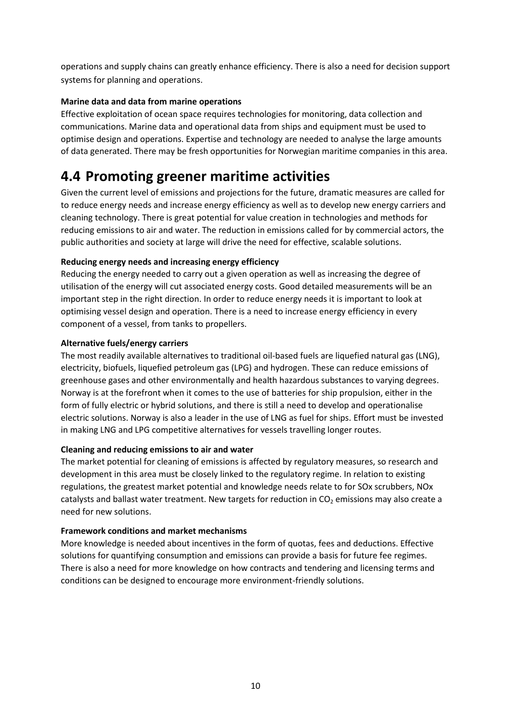operations and supply chains can greatly enhance efficiency. There is also a need for decision support systems for planning and operations.

#### **Marine data and data from marine operations**

Effective exploitation of ocean space requires technologies for monitoring, data collection and communications. Marine data and operational data from ships and equipment must be used to optimise design and operations. Expertise and technology are needed to analyse the large amounts of data generated. There may be fresh opportunities for Norwegian maritime companies in this area.

### <span id="page-9-0"></span>**4.4 Promoting greener maritime activities**

Given the current level of emissions and projections for the future, dramatic measures are called for to reduce energy needs and increase energy efficiency as well as to develop new energy carriers and cleaning technology. There is great potential for value creation in technologies and methods for reducing emissions to air and water. The reduction in emissions called for by commercial actors, the public authorities and society at large will drive the need for effective, scalable solutions.

#### **Reducing energy needs and increasing energy efficiency**

Reducing the energy needed to carry out a given operation as well as increasing the degree of utilisation of the energy will cut associated energy costs. Good detailed measurements will be an important step in the right direction. In order to reduce energy needs it is important to look at optimising vessel design and operation. There is a need to increase energy efficiency in every component of a vessel, from tanks to propellers.

#### **Alternative fuels/energy carriers**

The most readily available alternatives to traditional oil-based fuels are liquefied natural gas (LNG), electricity, biofuels, liquefied petroleum gas (LPG) and hydrogen. These can reduce emissions of greenhouse gases and other environmentally and health hazardous substances to varying degrees. Norway is at the forefront when it comes to the use of batteries for ship propulsion, either in the form of fully electric or hybrid solutions, and there is still a need to develop and operationalise electric solutions. Norway is also a leader in the use of LNG as fuel for ships. Effort must be invested in making LNG and LPG competitive alternatives for vessels travelling longer routes.

#### **Cleaning and reducing emissions to air and water**

The market potential for cleaning of emissions is affected by regulatory measures, so research and development in this area must be closely linked to the regulatory regime. In relation to existing regulations, the greatest market potential and knowledge needs relate to for SOx scrubbers, NOx catalysts and ballast water treatment. New targets for reduction in  $CO<sub>2</sub>$  emissions may also create a need for new solutions.

#### **Framework conditions and market mechanisms**

More knowledge is needed about incentives in the form of quotas, fees and deductions. Effective solutions for quantifying consumption and emissions can provide a basis for future fee regimes. There is also a need for more knowledge on how contracts and tendering and licensing terms and conditions can be designed to encourage more environment-friendly solutions.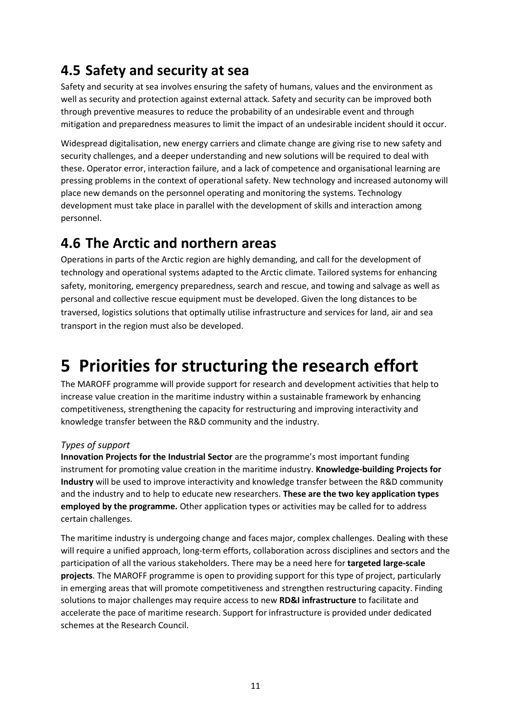### <span id="page-10-0"></span>**4.5 Safety and security at sea**

Safety and security at sea involves ensuring the safety of humans, values and the environment as well as security and protection against external attack. Safety and security can be improved both through preventive measures to reduce the probability of an undesirable event and through mitigation and preparedness measures to limit the impact of an undesirable incident should it occur.

Widespread digitalisation, new energy carriers and climate change are giving rise to new safety and security challenges, and a deeper understanding and new solutions will be required to deal with these. Operator error, interaction failure, and a lack of competence and organisational learning are pressing problems in the context of operational safety. New technology and increased autonomy will place new demands on the personnel operating and monitoring the systems. Technology development must take place in parallel with the development of skills and interaction among personnel.

### <span id="page-10-1"></span>**4.6 The Arctic and northern areas**

Operations in parts of the Arctic region are highly demanding, and call for the development of technology and operational systems adapted to the Arctic climate. Tailored systems for enhancing safety, monitoring, emergency preparedness, search and rescue, and towing and salvage as well as personal and collective rescue equipment must be developed. Given the long distances to be traversed, logistics solutions that optimally utilise infrastructure and services for land, air and sea transport in the region must also be developed.

## <span id="page-10-2"></span>**5 Priorities for structuring the research effort**

The MAROFF programme will provide support for research and development activities that help to increase value creation in the maritime industry within a sustainable framework by enhancing competitiveness, strengthening the capacity for restructuring and improving interactivity and knowledge transfer between the R&D community and the industry.

#### *Types of support*

**Innovation Projects for the Industrial Sector** are the programme's most important funding instrument for promoting value creation in the maritime industry. **Knowledge-building Projects for Industry** will be used to improve interactivity and knowledge transfer between the R&D community and the industry and to help to educate new researchers. **These are the two key application types employed by the programme.** Other application types or activities may be called for to address certain challenges.

The maritime industry is undergoing change and faces major, complex challenges. Dealing with these will require a unified approach, long-term efforts, collaboration across disciplines and sectors and the participation of all the various stakeholders. There may be a need here for **targeted large-scale projects**. The MAROFF programme is open to providing support for this type of project, particularly in emerging areas that will promote competitiveness and strengthen restructuring capacity. Finding solutions to major challenges may require access to new **RD&I infrastructure** to facilitate and accelerate the pace of maritime research. Support for infrastructure is provided under dedicated schemes at the Research Council.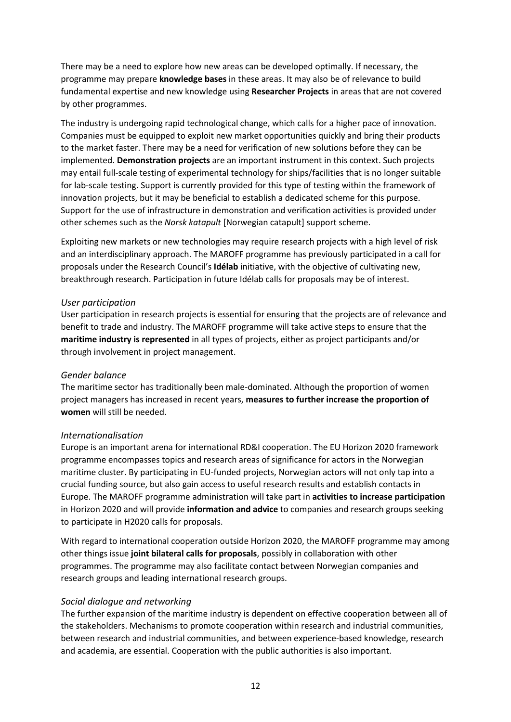There may be a need to explore how new areas can be developed optimally. If necessary, the programme may prepare **knowledge bases** in these areas. It may also be of relevance to build fundamental expertise and new knowledge using **Researcher Projects** in areas that are not covered by other programmes.

The industry is undergoing rapid technological change, which calls for a higher pace of innovation. Companies must be equipped to exploit new market opportunities quickly and bring their products to the market faster. There may be a need for verification of new solutions before they can be implemented. **Demonstration projects** are an important instrument in this context. Such projects may entail full-scale testing of experimental technology for ships/facilities that is no longer suitable for lab-scale testing. Support is currently provided for this type of testing within the framework of innovation projects, but it may be beneficial to establish a dedicated scheme for this purpose. Support for the use of infrastructure in demonstration and verification activities is provided under other schemes such as the *Norsk katapult* [Norwegian catapult] support scheme.

Exploiting new markets or new technologies may require research projects with a high level of risk and an interdisciplinary approach. The MAROFF programme has previously participated in a call for proposals under the Research Council's **Idélab** initiative, with the objective of cultivating new, breakthrough research. Participation in future Idélab calls for proposals may be of interest.

#### *User participation*

User participation in research projects is essential for ensuring that the projects are of relevance and benefit to trade and industry. The MAROFF programme will take active steps to ensure that the **maritime industry is represented** in all types of projects, either as project participants and/or through involvement in project management.

#### *Gender balance*

The maritime sector has traditionally been male-dominated. Although the proportion of women project managers has increased in recent years, **measures to further increase the proportion of women** will still be needed.

#### *Internationalisation*

Europe is an important arena for international RD&I cooperation. The EU Horizon 2020 framework programme encompasses topics and research areas of significance for actors in the Norwegian maritime cluster. By participating in EU-funded projects, Norwegian actors will not only tap into a crucial funding source, but also gain access to useful research results and establish contacts in Europe. The MAROFF programme administration will take part in **activities to increase participation**  in Horizon 2020 and will provide **information and advice** to companies and research groups seeking to participate in H2020 calls for proposals.

With regard to international cooperation outside Horizon 2020, the MAROFF programme may among other things issue **joint bilateral calls for proposals**, possibly in collaboration with other programmes. The programme may also facilitate contact between Norwegian companies and research groups and leading international research groups.

#### *Social dialogue and networking*

The further expansion of the maritime industry is dependent on effective cooperation between all of the stakeholders. Mechanisms to promote cooperation within research and industrial communities, between research and industrial communities, and between experience-based knowledge, research and academia, are essential. Cooperation with the public authorities is also important.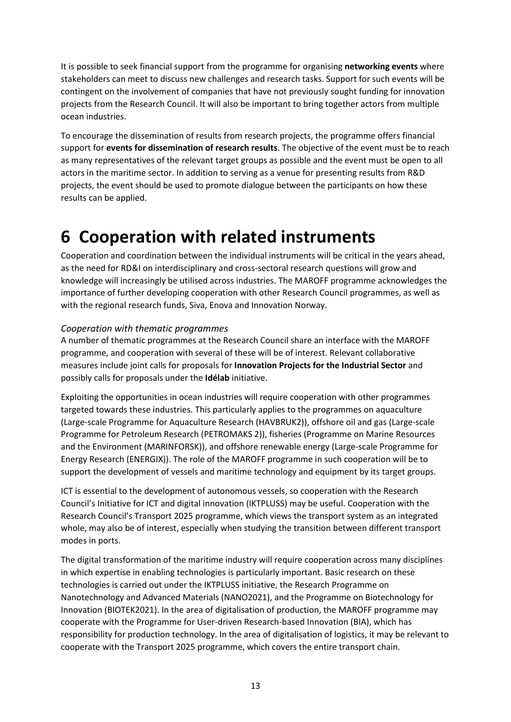It is possible to seek financial support from the programme for organising **networking events** where stakeholders can meet to discuss new challenges and research tasks. Support for such events will be contingent on the involvement of companies that have not previously sought funding for innovation projects from the Research Council. It will also be important to bring together actors from multiple ocean industries.

To encourage the dissemination of results from research projects, the programme offers financial support for **events for dissemination of research results**. The objective of the event must be to reach as many representatives of the relevant target groups as possible and the event must be open to all actors in the maritime sector. In addition to serving as a venue for presenting results from R&D projects, the event should be used to promote dialogue between the participants on how these results can be applied.

### <span id="page-12-0"></span>**6 Cooperation with related instruments**

Cooperation and coordination between the individual instruments will be critical in the years ahead, as the need for RD&I on interdisciplinary and cross-sectoral research questions will grow and knowledge will increasingly be utilised across industries. The MAROFF programme acknowledges the importance of further developing cooperation with other Research Council programmes, as well as with the regional research funds, Siva, Enova and Innovation Norway.

#### *Cooperation with thematic programmes*

A number of thematic programmes at the Research Council share an interface with the MAROFF programme, and cooperation with several of these will be of interest. Relevant collaborative measures include joint calls for proposals for **Innovation Projects for the Industrial Sector** and possibly calls for proposals under the **Idélab** initiative.

Exploiting the opportunities in ocean industries will require cooperation with other programmes targeted towards these industries. This particularly applies to the programmes on aquaculture (Large-scale Programme for Aquaculture Research (HAVBRUK2)), offshore oil and gas (Large-scale Programme for Petroleum Research (PETROMAKS 2)), fisheries (Programme on Marine Resources and the Environment (MARINFORSK)), and offshore renewable energy (Large-scale Programme for Energy Research (ENERGIX)). The role of the MAROFF programme in such cooperation will be to support the development of vessels and maritime technology and equipment by its target groups.

ICT is essential to the development of autonomous vessels, so cooperation with the Research Council's Initiative for ICT and digital innovation (IKTPLUSS) may be useful. Cooperation with the Research Council's Transport 2025 programme, which views the transport system as an integrated whole, may also be of interest, especially when studying the transition between different transport modes in ports.

The digital transformation of the maritime industry will require cooperation across many disciplines in which expertise in enabling technologies is particularly important. Basic research on these technologies is carried out under the IKTPLUSS initiative, the Research Programme on Nanotechnology and Advanced Materials (NANO2021), and the Programme on Biotechnology for Innovation (BIOTEK2021). In the area of digitalisation of production, the MAROFF programme may cooperate with the Programme for User-driven Research-based Innovation (BIA), which has responsibility for production technology. In the area of digitalisation of logistics, it may be relevant to cooperate with the Transport 2025 programme, which covers the entire transport chain.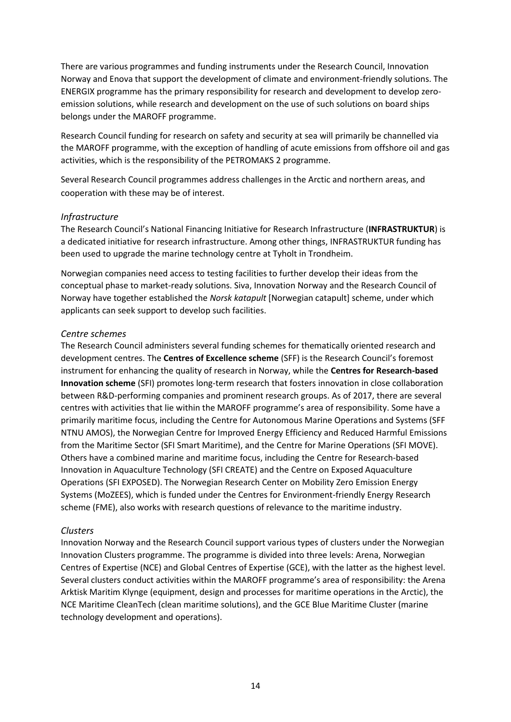There are various programmes and funding instruments under the Research Council, Innovation Norway and Enova that support the development of climate and environment-friendly solutions. The ENERGIX programme has the primary responsibility for research and development to develop zeroemission solutions, while research and development on the use of such solutions on board ships belongs under the MAROFF programme.

Research Council funding for research on safety and security at sea will primarily be channelled via the MAROFF programme, with the exception of handling of acute emissions from offshore oil and gas activities, which is the responsibility of the PETROMAKS 2 programme.

Several Research Council programmes address challenges in the Arctic and northern areas, and cooperation with these may be of interest.

#### *Infrastructure*

The Research Council's National Financing Initiative for Research Infrastructure (**INFRASTRUKTUR**) is a dedicated initiative for research infrastructure. Among other things, INFRASTRUKTUR funding has been used to upgrade the marine technology centre at Tyholt in Trondheim.

Norwegian companies need access to testing facilities to further develop their ideas from the conceptual phase to market-ready solutions. Siva, Innovation Norway and the Research Council of Norway have together established the *Norsk katapult* [Norwegian catapult] scheme, under which applicants can seek support to develop such facilities.

#### *Centre schemes*

The Research Council administers several funding schemes for thematically oriented research and development centres. The **Centres of Excellence scheme** (SFF) is the Research Council's foremost instrument for enhancing the quality of research in Norway, while the **Centres for Research-based Innovation scheme** (SFI) promotes long-term research that fosters innovation in close collaboration between R&D-performing companies and prominent research groups. As of 2017, there are several centres with activities that lie within the MAROFF programme's area of responsibility. Some have a primarily maritime focus, including the Centre for Autonomous Marine Operations and Systems (SFF NTNU AMOS), the Norwegian Centre for Improved Energy Efficiency and Reduced Harmful Emissions from the Maritime Sector (SFI Smart Maritime), and the Centre for Marine Operations (SFI MOVE). Others have a combined marine and maritime focus, including the Centre for Research-based Innovation in Aquaculture Technology (SFI CREATE) and the Centre on Exposed Aquaculture Operations (SFI EXPOSED). The Norwegian Research Center on Mobility Zero Emission Energy Systems (MoZEES), which is funded under the Centres for Environment-friendly Energy Research scheme (FME), also works with research questions of relevance to the maritime industry.

#### *Clusters*

Innovation Norway and the Research Council support various types of clusters under the Norwegian Innovation Clusters programme. The programme is divided into three levels: Arena, Norwegian Centres of Expertise (NCE) and Global Centres of Expertise (GCE), with the latter as the highest level. Several clusters conduct activities within the MAROFF programme's area of responsibility: the Arena Arktisk Maritim Klynge (equipment, design and processes for maritime operations in the Arctic), the NCE Maritime CleanTech (clean maritime solutions), and the GCE Blue Maritime Cluster (marine technology development and operations).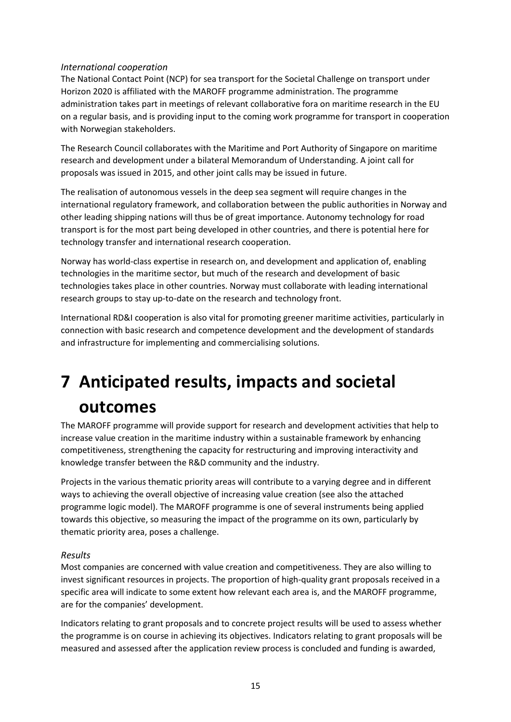#### *International cooperation*

The National Contact Point (NCP) for sea transport for the Societal Challenge on transport under Horizon 2020 is affiliated with the MAROFF programme administration. The programme administration takes part in meetings of relevant collaborative fora on maritime research in the EU on a regular basis, and is providing input to the coming work programme for transport in cooperation with Norwegian stakeholders.

The Research Council collaborates with the Maritime and Port Authority of Singapore on maritime research and development under a bilateral Memorandum of Understanding. A joint call for proposals was issued in 2015, and other joint calls may be issued in future.

The realisation of autonomous vessels in the deep sea segment will require changes in the international regulatory framework, and collaboration between the public authorities in Norway and other leading shipping nations will thus be of great importance. Autonomy technology for road transport is for the most part being developed in other countries, and there is potential here for technology transfer and international research cooperation.

Norway has world-class expertise in research on, and development and application of, enabling technologies in the maritime sector, but much of the research and development of basic technologies takes place in other countries. Norway must collaborate with leading international research groups to stay up-to-date on the research and technology front.

International RD&I cooperation is also vital for promoting greener maritime activities, particularly in connection with basic research and competence development and the development of standards and infrastructure for implementing and commercialising solutions.

# <span id="page-14-0"></span>**7 Anticipated results, impacts and societal outcomes**

The MAROFF programme will provide support for research and development activities that help to increase value creation in the maritime industry within a sustainable framework by enhancing competitiveness, strengthening the capacity for restructuring and improving interactivity and knowledge transfer between the R&D community and the industry.

Projects in the various thematic priority areas will contribute to a varying degree and in different ways to achieving the overall objective of increasing value creation (see also the attached programme logic model). The MAROFF programme is one of several instruments being applied towards this objective, so measuring the impact of the programme on its own, particularly by thematic priority area, poses a challenge.

#### *Results*

Most companies are concerned with value creation and competitiveness. They are also willing to invest significant resources in projects. The proportion of high-quality grant proposals received in a specific area will indicate to some extent how relevant each area is, and the MAROFF programme, are for the companies' development.

Indicators relating to grant proposals and to concrete project results will be used to assess whether the programme is on course in achieving its objectives. Indicators relating to grant proposals will be measured and assessed after the application review process is concluded and funding is awarded,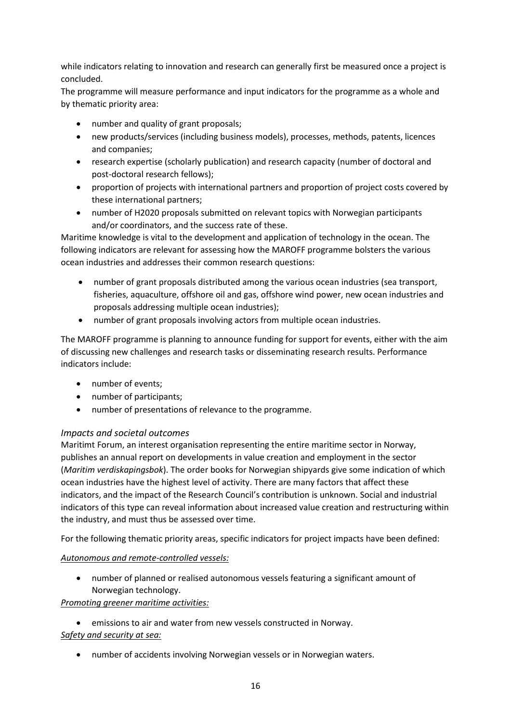while indicators relating to innovation and research can generally first be measured once a project is concluded.

The programme will measure performance and input indicators for the programme as a whole and by thematic priority area:

- number and quality of grant proposals;
- new products/services (including business models), processes, methods, patents, licences and companies;
- research expertise (scholarly publication) and research capacity (number of doctoral and post-doctoral research fellows);
- proportion of projects with international partners and proportion of project costs covered by these international partners;
- number of H2020 proposals submitted on relevant topics with Norwegian participants and/or coordinators, and the success rate of these.

Maritime knowledge is vital to the development and application of technology in the ocean. The following indicators are relevant for assessing how the MAROFF programme bolsters the various ocean industries and addresses their common research questions:

- number of grant proposals distributed among the various ocean industries (sea transport, fisheries, aquaculture, offshore oil and gas, offshore wind power, new ocean industries and proposals addressing multiple ocean industries);
- number of grant proposals involving actors from multiple ocean industries.

The MAROFF programme is planning to announce funding for support for events, either with the aim of discussing new challenges and research tasks or disseminating research results. Performance indicators include:

- number of events;
- number of participants;
- number of presentations of relevance to the programme.

#### *Impacts and societal outcomes*

Maritimt Forum, an interest organisation representing the entire maritime sector in Norway, publishes an annual report on developments in value creation and employment in the sector (*Maritim verdiskapingsbok*). The order books for Norwegian shipyards give some indication of which ocean industries have the highest level of activity. There are many factors that affect these indicators, and the impact of the Research Council's contribution is unknown. Social and industrial indicators of this type can reveal information about increased value creation and restructuring within the industry, and must thus be assessed over time.

For the following thematic priority areas, specific indicators for project impacts have been defined:

#### *Autonomous and remote-controlled vessels:*

 number of planned or realised autonomous vessels featuring a significant amount of Norwegian technology.

#### *Promoting greener maritime activities:*

- emissions to air and water from new vessels constructed in Norway. *Safety and security at sea:*
	- number of accidents involving Norwegian vessels or in Norwegian waters.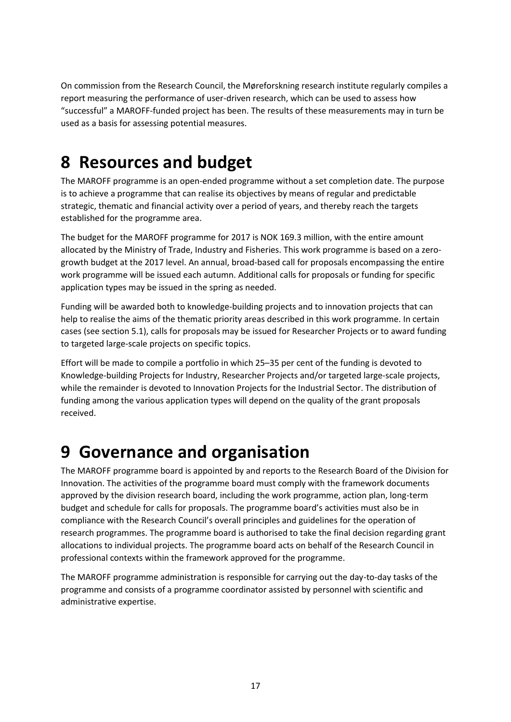On commission from the Research Council, the Møreforskning research institute regularly compiles a report measuring the performance of user-driven research, which can be used to assess how "successful" a MAROFF-funded project has been. The results of these measurements may in turn be used as a basis for assessing potential measures.

## <span id="page-16-0"></span>**8 Resources and budget**

The MAROFF programme is an open-ended programme without a set completion date. The purpose is to achieve a programme that can realise its objectives by means of regular and predictable strategic, thematic and financial activity over a period of years, and thereby reach the targets established for the programme area.

The budget for the MAROFF programme for 2017 is NOK 169.3 million, with the entire amount allocated by the Ministry of Trade, Industry and Fisheries. This work programme is based on a zerogrowth budget at the 2017 level. An annual, broad-based call for proposals encompassing the entire work programme will be issued each autumn. Additional calls for proposals or funding for specific application types may be issued in the spring as needed.

Funding will be awarded both to knowledge-building projects and to innovation projects that can help to realise the aims of the thematic priority areas described in this work programme. In certain cases (see section 5.1), calls for proposals may be issued for Researcher Projects or to award funding to targeted large-scale projects on specific topics.

Effort will be made to compile a portfolio in which 25–35 per cent of the funding is devoted to Knowledge-building Projects for Industry, Researcher Projects and/or targeted large-scale projects, while the remainder is devoted to Innovation Projects for the Industrial Sector. The distribution of funding among the various application types will depend on the quality of the grant proposals received.

## <span id="page-16-1"></span>**9 Governance and organisation**

The MAROFF programme board is appointed by and reports to the Research Board of the Division for Innovation. The activities of the programme board must comply with the framework documents approved by the division research board, including the work programme, action plan, long-term budget and schedule for calls for proposals. The programme board's activities must also be in compliance with the Research Council's overall principles and guidelines for the operation of research programmes. The programme board is authorised to take the final decision regarding grant allocations to individual projects. The programme board acts on behalf of the Research Council in professional contexts within the framework approved for the programme.

The MAROFF programme administration is responsible for carrying out the day-to-day tasks of the programme and consists of a programme coordinator assisted by personnel with scientific and administrative expertise.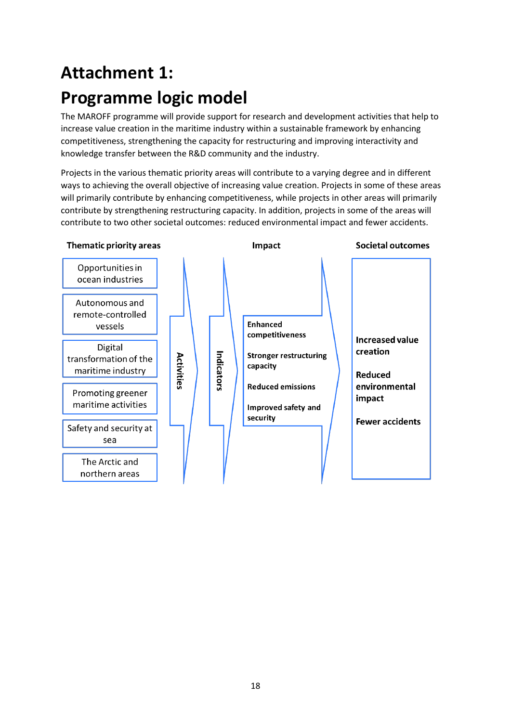# <span id="page-17-0"></span>**Attachment 1: Programme logic model**

The MAROFF programme will provide support for research and development activities that help to increase value creation in the maritime industry within a sustainable framework by enhancing competitiveness, strengthening the capacity for restructuring and improving interactivity and knowledge transfer between the R&D community and the industry.

Projects in the various thematic priority areas will contribute to a varying degree and in different ways to achieving the overall objective of increasing value creation. Projects in some of these areas will primarily contribute by enhancing competitiveness, while projects in other areas will primarily contribute by strengthening restructuring capacity. In addition, projects in some of the areas will contribute to two other societal outcomes: reduced environmental impact and fewer accidents.